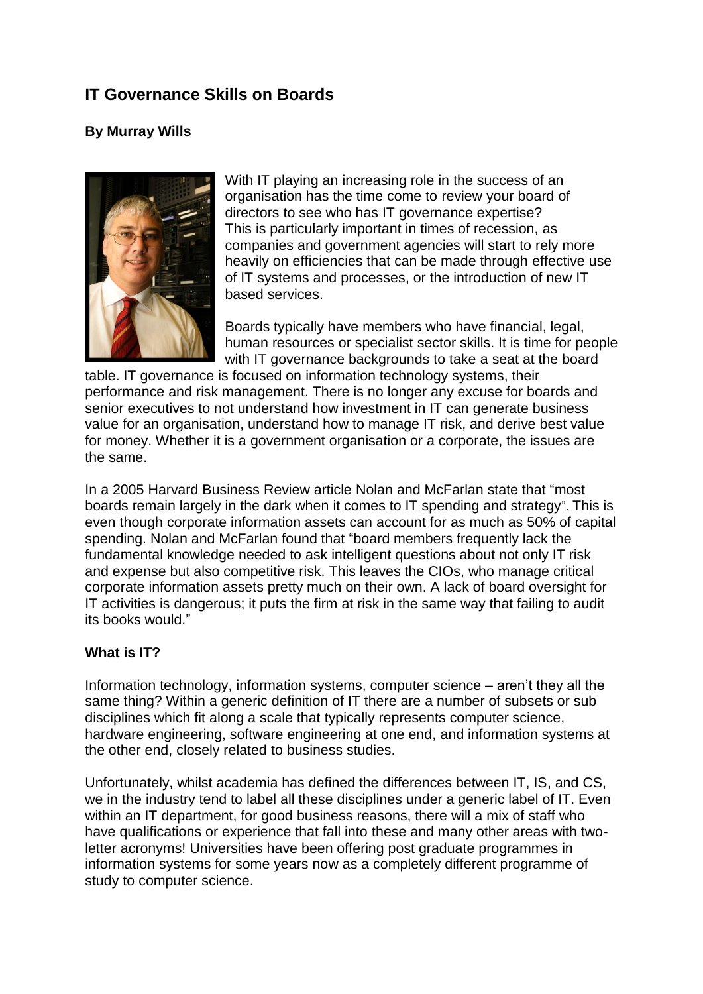# **IT Governance Skills on Boards**

# **By Murray Wills**



With IT playing an increasing role in the success of an organisation has the time come to review your board of directors to see who has IT governance expertise? This is particularly important in times of recession, as companies and government agencies will start to rely more heavily on efficiencies that can be made through effective use of IT systems and processes, or the introduction of new IT based services.

Boards typically have members who have financial, legal, human resources or specialist sector skills. It is time for people with IT governance backgrounds to take a seat at the board

table. IT governance is focused on information technology systems, their performance and risk management. There is no longer any excuse for boards and senior executives to not understand how investment in IT can generate business value for an organisation, understand how to manage IT risk, and derive best value for money. Whether it is a government organisation or a corporate, the issues are the same.

In a 2005 Harvard Business Review article Nolan and McFarlan state that "most boards remain largely in the dark when it comes to IT spending and strategy". This is even though corporate information assets can account for as much as 50% of capital spending. Nolan and McFarlan found that "board members frequently lack the fundamental knowledge needed to ask intelligent questions about not only IT risk and expense but also competitive risk. This leaves the CIOs, who manage critical corporate information assets pretty much on their own. A lack of board oversight for IT activities is dangerous; it puts the firm at risk in the same way that failing to audit its books would."

# **What is IT?**

Information technology, information systems, computer science – aren't they all the same thing? Within a generic definition of IT there are a number of subsets or sub disciplines which fit along a scale that typically represents computer science, hardware engineering, software engineering at one end, and information systems at the other end, closely related to business studies.

Unfortunately, whilst academia has defined the differences between IT, IS, and CS, we in the industry tend to label all these disciplines under a generic label of IT. Even within an IT department, for good business reasons, there will a mix of staff who have qualifications or experience that fall into these and many other areas with twoletter acronyms! Universities have been offering post graduate programmes in information systems for some years now as a completely different programme of study to computer science.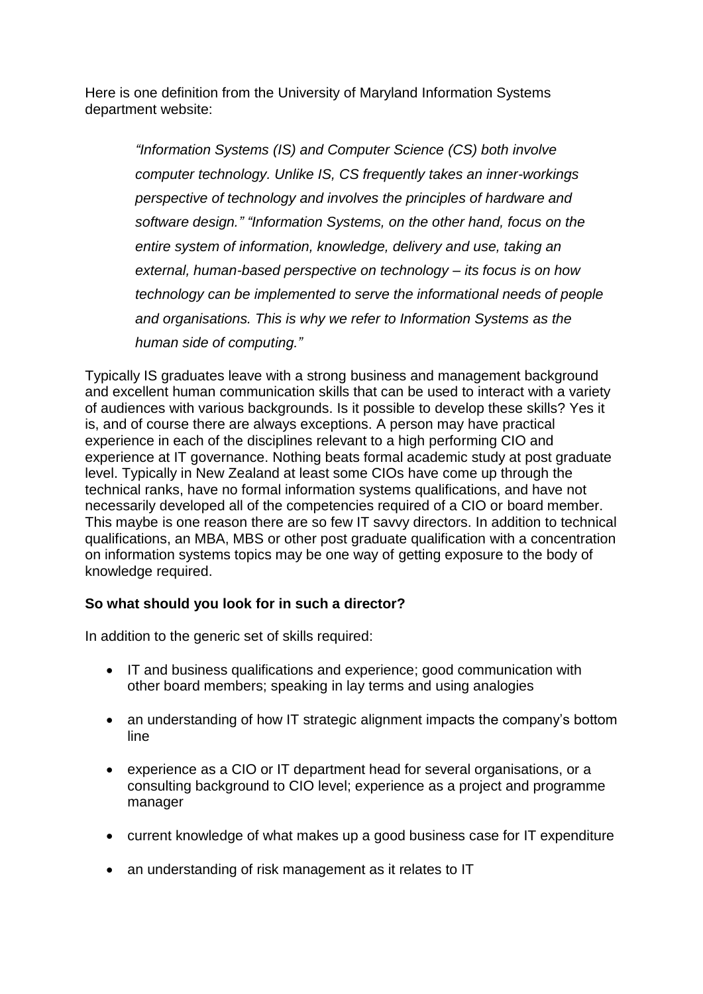Here is one definition from the University of Maryland Information Systems department website:

> *"Information Systems (IS) and Computer Science (CS) both involve computer technology. Unlike IS, CS frequently takes an inner-workings perspective of technology and involves the principles of hardware and software design." "Information Systems, on the other hand, focus on the entire system of information, knowledge, delivery and use, taking an external, human-based perspective on technology – its focus is on how technology can be implemented to serve the informational needs of people and organisations. This is why we refer to Information Systems as the human side of computing."*

Typically IS graduates leave with a strong business and management background and excellent human communication skills that can be used to interact with a variety of audiences with various backgrounds. Is it possible to develop these skills? Yes it is, and of course there are always exceptions. A person may have practical experience in each of the disciplines relevant to a high performing CIO and experience at IT governance. Nothing beats formal academic study at post graduate level. Typically in New Zealand at least some CIOs have come up through the technical ranks, have no formal information systems qualifications, and have not necessarily developed all of the competencies required of a CIO or board member. This maybe is one reason there are so few IT savvy directors. In addition to technical qualifications, an MBA, MBS or other post graduate qualification with a concentration on information systems topics may be one way of getting exposure to the body of knowledge required.

# **So what should you look for in such a director?**

In addition to the generic set of skills required:

- IT and business qualifications and experience; good communication with other board members; speaking in lay terms and using analogies
- an understanding of how IT strategic alignment impacts the company's bottom line
- experience as a CIO or IT department head for several organisations, or a consulting background to CIO level; experience as a project and programme manager
- current knowledge of what makes up a good business case for IT expenditure
- an understanding of risk management as it relates to IT